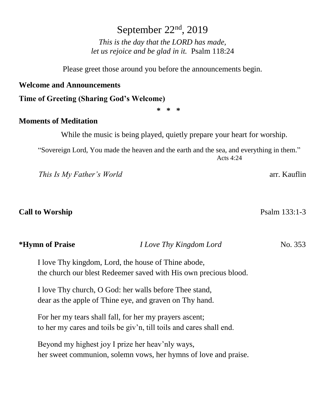# September 22<sup>nd</sup>, 2019

*This is the day that the LORD has made, let us rejoice and be glad in it.* Psalm 118:24

Please greet those around you before the announcements begin.

#### **Welcome and Announcements**

**Time of Greeting (Sharing God's Welcome)**

**\* \* \***

#### **Moments of Meditation**

While the music is being played, quietly prepare your heart for worship.

"Sovereign Lord, You made the heaven and the earth and the sea, and everything in them." Acts 4:24

*This Is My Father's World* **arrival in the set of the set of the set of the set of the set of the set of the set of the set of the set of the set of the set of the set of the set of the set of the set of the set of the se** 

### **Call to Worship**  Psalm 133:1-3

| <i><b>*Hymn of Praise</b></i> | <i>I Love Thy Kingdom Lord</i>                                   | No. 353 |
|-------------------------------|------------------------------------------------------------------|---------|
|                               | I love Thy kingdom, Lord, the house of Thine abode,              |         |
|                               | the church our blest Redeemer saved with His own precious blood. |         |

I love Thy church, O God: her walls before Thee stand, dear as the apple of Thine eye, and graven on Thy hand.

For her my tears shall fall, for her my prayers ascent; to her my cares and toils be giv'n, till toils and cares shall end.

Beyond my highest joy I prize her heav'nly ways, her sweet communion, solemn vows, her hymns of love and praise.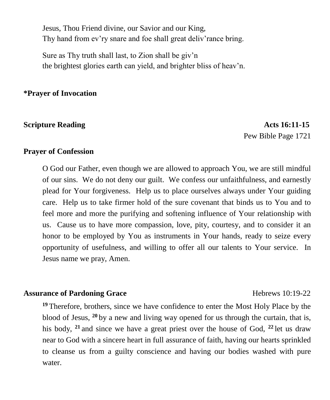Jesus, Thou Friend divine, our Savior and our King, Thy hand from ev'ry snare and foe shall great deliv'rance bring.

Sure as Thy truth shall last, to Zion shall be giv'n the brightest glories earth can yield, and brighter bliss of heav'n.

#### **\*Prayer of Invocation**

**Scripture Reading Acts 16:11-15** Pew Bible Page 1721

#### **Prayer of Confession**

O God our Father, even though we are allowed to approach You, we are still mindful of our sins. We do not deny our guilt. We confess our unfaithfulness, and earnestly plead for Your forgiveness. Help us to place ourselves always under Your guiding care. Help us to take firmer hold of the sure covenant that binds us to You and to feel more and more the purifying and softening influence of Your relationship with us. Cause us to have more compassion, love, pity, courtesy, and to consider it an honor to be employed by You as instruments in Your hands, ready to seize every opportunity of usefulness, and willing to offer all our talents to Your service. In Jesus name we pray, Amen.

### Assurance of Pardoning Grace Hebrews 10:19-22

**<sup>19</sup>** Therefore, brothers, since we have confidence to enter the Most Holy Place by the blood of Jesus, **<sup>20</sup>** by a new and living way opened for us through the curtain, that is, his body,  $2<sup>1</sup>$  and since we have a great priest over the house of God,  $2<sup>2</sup>$  let us draw near to God with a sincere heart in full assurance of faith, having our hearts sprinkled to cleanse us from a guilty conscience and having our bodies washed with pure water.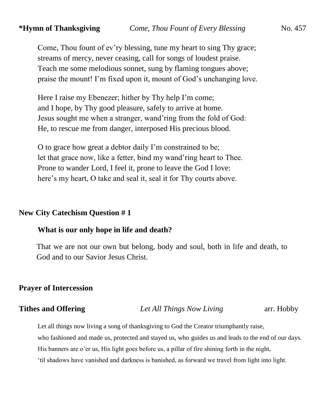Come, Thou fount of ev'ry blessing, tune my heart to sing Thy grace; streams of mercy, never ceasing, call for songs of loudest praise. Teach me some melodious sonnet, sung by flaming tongues above; praise the mount! I'm fixed upon it, mount of God's unchanging love.

Here I raise my Ebenezer; hither by Thy help I'm come; and I hope, by Thy good pleasure, safely to arrive at home. Jesus sought me when a stranger, wand'ring from the fold of God: He, to rescue me from danger, interposed His precious blood.

O to grace how great a debtor daily I'm constrained to be; let that grace now, like a fetter, bind my wand'ring heart to Thee. Prone to wander Lord, I feel it, prone to leave the God I love: here's my heart, O take and seal it, seal it for Thy courts above.

### **New City Catechism Question # 1**

### **What is our only hope in life and death?**

That we are not our own but belong, body and soul, both in life and death, to God and to our Savior Jesus Christ.

### **Prayer of Intercession**

**Tithes and Offering** *Let All Things Now Living* arr. Hobby

Let all things now living a song of thanksgiving to God the Creator triumphantly raise, who fashioned and made us, protected and stayed us, who guides us and leads to the end of our days. His banners are o'er us, His light goes before us, a pillar of fire shining forth in the night, 'til shadows have vanished and darkness is banished, as forward we travel from light into light.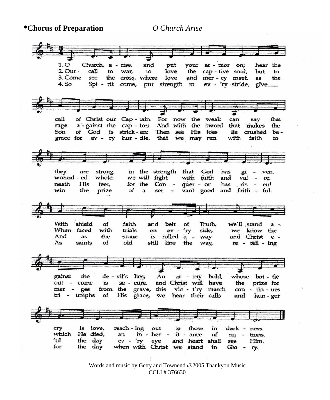$1.0$ Church, a - rise, and put your ar - mor on; hear the  $2.$  Our  $\cdot$ call to war, to love the cap-tive soul, but  $\mathbf{t}$ 3. Come see the cross, where love and mer-cy meet, the as  $4.5<sub>o</sub>$ Spi - rit come, put strength in ev - 'ry stride, give\_ call of Christ our Cap - tain. For now the weak can that say a - gainst the cap - tor; And with the sword that makes rage the of God is strick-en; Then see His foes lie crushed be-Son grace for ev - 'ry hur - dle, that we may run with faith to in the strength that God they are strong has gi ven. wound - ed whole, we will fight with faith and  $val - or.$ His neath feet, for the Con - quer - or has ris - en! win the prize of a ser - vant good and faith - ful. With shield of faith and belt of Truth, we'll stand  $a$ trials When faced with on  $ev - \sqrt{ry}$ side, we know the is rolled a - way And as the stone and Christ e -As saints of  $old$ still line the way, re - tell - ing gainst the de - vil's lies; An ar - my bold, whose bat - tle and Christ will have out - come is se - cure, the prize for from the grave, this vic - t'ry march mer - ges con - tin - ues tri - umphs of His grace, we hear their calls and  $hun - ger$ reach - ing cry is love, out to those in dark - ness. which He died, an  $in - her$  $-$  it  $-$  ance of na - tions. ʻtil the day  $ev -'ry$ and heart shall eye Him. see for the day when with Christ we stand in  $Glo - ry.$ 

Words and music by Getty and Townend @2005 Thankyou Music CCLI # 376630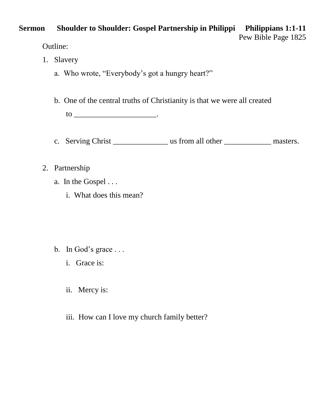### **Sermon** Shoulder to Shoulder: Gospel Partnership in Philippi Philippians 1:1-11 Pew Bible Page 1825

Outline:

- 1. Slavery
	- a. Who wrote, "Everybody's got a hungry heart?"
	- b. One of the central truths of Christianity is that we were all created to \_\_\_\_\_\_\_\_\_\_\_\_\_\_\_\_\_\_\_\_\_.
	- c. Serving Christ \_\_\_\_\_\_\_\_\_\_\_\_\_\_ us from all other \_\_\_\_\_\_\_\_\_\_\_\_ masters.
- 2. Partnership
	- a. In the Gospel . . .
		- i. What does this mean?

- b. In God's grace . . .
	- i. Grace is:
	- ii. Mercy is:
	- iii. How can I love my church family better?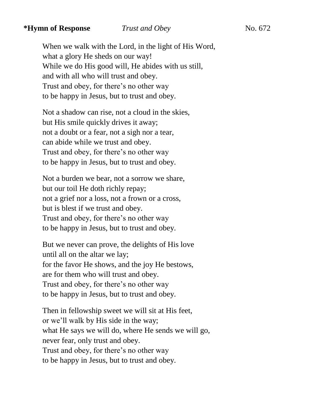#### *\****Hymn of Response** *<i>Trust and Obey* **No. 672**

When we walk with the Lord, in the light of His Word, what a glory He sheds on our way! While we do His good will, He abides with us still, and with all who will trust and obey. Trust and obey, for there's no other way to be happy in Jesus, but to trust and obey.

Not a shadow can rise, not a cloud in the skies, but His smile quickly drives it away; not a doubt or a fear, not a sigh nor a tear, can abide while we trust and obey. Trust and obey, for there's no other way to be happy in Jesus, but to trust and obey.

Not a burden we bear, not a sorrow we share, but our toil He doth richly repay; not a grief nor a loss, not a frown or a cross, but is blest if we trust and obey. Trust and obey, for there's no other way to be happy in Jesus, but to trust and obey.

But we never can prove, the delights of His love until all on the altar we lay; for the favor He shows, and the joy He bestows, are for them who will trust and obey. Trust and obey, for there's no other way to be happy in Jesus, but to trust and obey.

Then in fellowship sweet we will sit at His feet, or we'll walk by His side in the way; what He says we will do, where He sends we will go, never fear, only trust and obey. Trust and obey, for there's no other way to be happy in Jesus, but to trust and obey.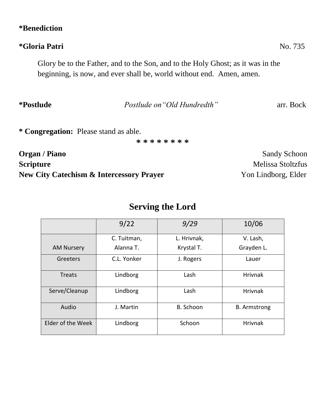## **\*Benediction**

# **\*Gloria Patri** No. 735

Glory be to the Father, and to the Son, and to the Holy Ghost; as it was in the beginning, is now, and ever shall be, world without end. Amen, amen.

**\*Postlude** *Postlude on"Old Hundredth"* arr. Bock

**\* Congregation:** Please stand as able.

**\* \* \* \* \* \* \* \***

**Organ** / **Piano** Sandy Schoon **Scripture** Melissa Stoltzfus **New City Catechism & Intercessory Prayer** Yon Lindborg, Elder

# **Serving the Lord**

|                   | 9/22        | 9/29        | 10/06               |
|-------------------|-------------|-------------|---------------------|
|                   | C. Tuitman, | L. Hrivnak, | V. Lash,            |
| <b>AM Nursery</b> | Alanna T.   | Krystal T.  | Grayden L.          |
| Greeters          | C.L. Yonker | J. Rogers   | Lauer               |
| Treats            | Lindborg    | Lash        | <b>Hrivnak</b>      |
| Serve/Cleanup     | Lindborg    | Lash        | Hrivnak             |
| Audio             | J. Martin   | B. Schoon   | <b>B.</b> Armstrong |
| Elder of the Week | Lindborg    | Schoon      | <b>Hrivnak</b>      |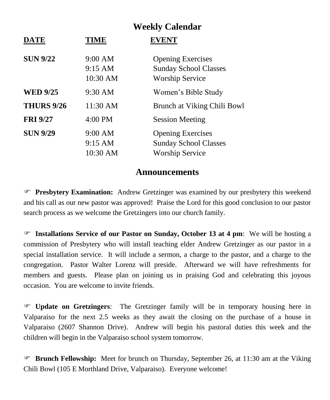## **Weekly Calendar**

| <b>DATE</b>       | <b>TIME</b>                      | <b>EVENT</b>                                                                       |
|-------------------|----------------------------------|------------------------------------------------------------------------------------|
| <b>SUN 9/22</b>   | 9:00 AM<br>9:15 AM<br>10:30 AM   | <b>Opening Exercises</b><br><b>Sunday School Classes</b><br><b>Worship Service</b> |
| <b>WED 9/25</b>   | 9:30 AM                          | Women's Bible Study                                                                |
| <b>THURS 9/26</b> | 11:30 AM                         | Brunch at Viking Chili Bowl                                                        |
| <b>FRI 9/27</b>   | 4:00 PM                          | <b>Session Meeting</b>                                                             |
| <b>SUN 9/29</b>   | $9:00$ AM<br>9:15 AM<br>10:30 AM | <b>Opening Exercises</b><br><b>Sunday School Classes</b><br><b>Worship Service</b> |

### **Announcements**

**Presbytery Examination:** Andrew Gretzinger was examined by our presbytery this weekend and his call as our new pastor was approved! Praise the Lord for this good conclusion to our pastor search process as we welcome the Gretzingers into our church family.

 **Installations Service of our Pastor on Sunday, October 13 at 4 pm**: We will be hosting a commission of Presbytery who will install teaching elder Andrew Gretzinger as our pastor in a special installation service. It will include a sermon, a charge to the pastor, and a charge to the congregation. Pastor Walter Lorenz will preside. Afterward we will have refreshments for members and guests. Please plan on joining us in praising God and celebrating this joyous occasion. You are welcome to invite friends.

 **Update on Gretzingers**: The Gretzinger family will be in temporary housing here in Valparaiso for the next 2.5 weeks as they await the closing on the purchase of a house in Valparaiso (2607 Shannon Drive). Andrew will begin his pastoral duties this week and the children will begin in the Valparaiso school system tomorrow.

 **Brunch Fellowship:** Meet for brunch on Thursday, September 26, at 11:30 am at the Viking Chili Bowl (105 E Morthland Drive, Valparaiso). Everyone welcome!